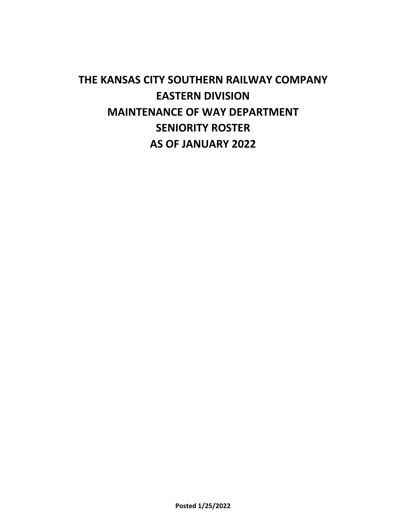# **THE KANSAS CITY SOUTHERN RAILWAY COMPANY EASTERN DIVISION MAINTENANCE OF WAY DEPARTMENT SENIORITY ROSTER AS OF JANUARY 2022**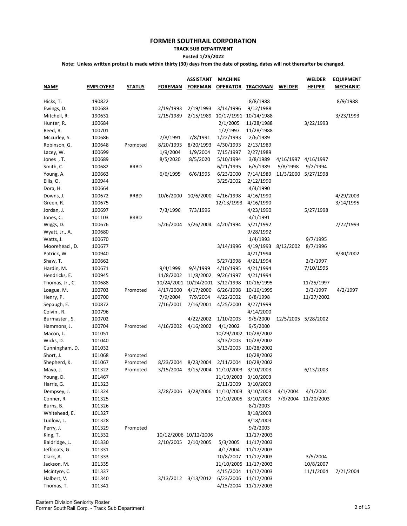## **TRACK SUB DEPARTMENT**

**Posted 1/25/2022**

| <b>NAME</b>     | <b>EMPLOYEE#</b> | <b>STATUS</b> | <b>FOREMAN</b> | <b>ASSISTANT</b><br><b>FOREMAN</b> | <b>MACHINE</b><br><b>OPERATOR</b> | <u>TRACKMAN</u>       | <b>WELDER</b> | <b>WELDER</b><br><b>HELPER</b> | <b>EQUIPMENT</b><br><b>MECHANIC</b> |
|-----------------|------------------|---------------|----------------|------------------------------------|-----------------------------------|-----------------------|---------------|--------------------------------|-------------------------------------|
| Hicks, T.       | 190822           |               |                |                                    |                                   | 8/8/1988              |               |                                | 8/9/1988                            |
| Ewings, D.      | 100683           |               | 2/19/1993      | 2/19/1993                          | 3/14/1996                         | 9/12/1988             |               |                                |                                     |
| Mitchell, R.    | 190631           |               | 2/15/1989      | 2/15/1989                          | 10/17/1991                        | 10/14/1988            |               |                                | 3/23/1993                           |
| Hunter, R.      | 100684           |               |                |                                    | 2/1/2005                          | 11/28/1988            |               | 3/22/1993                      |                                     |
| Reed, R.        | 100701           |               |                |                                    | 1/2/1997                          | 11/28/1988            |               |                                |                                     |
| Mccurley, S.    | 100686           |               | 7/8/1991       | 7/8/1991                           | 1/22/1993                         | 2/6/1989              |               |                                |                                     |
| Robinson, G.    | 100648           | Promoted      | 8/20/1993      | 8/20/1993                          | 4/30/1993                         | 2/13/1989             |               |                                |                                     |
| Lacey, W.       | 100699           |               | 1/9/2004       | 1/9/2004                           | 7/15/1997                         | 2/27/1989             |               |                                |                                     |
| Jones, T.       | 100689           |               | 8/5/2020       | 8/5/2020                           | 5/10/1994                         | 3/8/1989              | 4/16/1997     | 4/16/1997                      |                                     |
| Smith, C.       | 100682           | <b>RRBD</b>   |                |                                    | 6/21/1995                         | 6/5/1989              | 5/8/1998      | 9/2/1994                       |                                     |
| Young, A.       | 100663           |               | 6/6/1995       | 6/6/1995                           | 6/23/2000                         | 7/14/1989             |               | 11/3/2000 5/27/1998            |                                     |
| Ellis, O.       | 100944           |               |                |                                    | 3/25/2002                         | 2/12/1990             |               |                                |                                     |
| Dora, H.        | 100664           |               |                |                                    |                                   | 4/4/1990              |               |                                |                                     |
| Downs, J.       | 100672           | <b>RRBD</b>   | 10/6/2000      | 10/6/2000                          | 4/16/1998                         | 4/16/1990             |               |                                | 4/29/2003                           |
| Green, R.       | 100675           |               |                |                                    | 12/13/1993                        | 4/16/1990             |               |                                | 3/14/1995                           |
| Jordan, J.      | 100697           |               | 7/3/1996       | 7/3/1996                           |                                   | 4/23/1990             |               | 5/27/1998                      |                                     |
| Jones, C.       | 101103           | <b>RRBD</b>   |                |                                    |                                   | 4/1/1991              |               |                                |                                     |
| Wiggs, D.       | 100676           |               | 5/26/2004      | 5/26/2004                          | 4/20/1994                         | 5/21/1992             |               |                                | 7/22/1993                           |
| Wyatt, Jr., A.  | 100680           |               |                |                                    |                                   | 9/28/1992             |               |                                |                                     |
| Watts, J.       | 100670           |               |                |                                    |                                   | 1/4/1993              |               | 9/7/1995                       |                                     |
| Moorehead, D.   | 100677           |               |                |                                    | 3/14/1996                         | 4/19/1993             | 8/12/2002     | 8/7/1996                       |                                     |
| Patrick, W.     | 100940           |               |                |                                    |                                   | 4/21/1994             |               |                                | 8/30/2002                           |
| Shaw, T.        | 100662           |               |                |                                    | 5/27/1998                         | 4/21/1994             |               | 2/3/1997                       |                                     |
| Hardin, M.      | 100671           |               | 9/4/1999       | 9/4/1999                           | 4/10/1995                         | 4/21/1994             |               | 7/10/1995                      |                                     |
| Hendricks, E.   | 100945           |               | 11/8/2002      | 11/8/2002                          | 9/26/1997                         | 4/21/1994             |               |                                |                                     |
| Thomas, Jr., C. | 100688           |               |                | 10/24/2001 10/24/2001              | 3/12/1998                         | 10/16/1995            |               | 11/25/1997                     |                                     |
| Loague, M.      | 100703           | Promoted      | 4/17/2000      | 4/17/2000                          | 6/26/1998                         | 10/16/1995            |               | 2/3/1997                       | 4/2/1997                            |
| Henry, P.       | 100700           |               | 7/9/2004       | 7/9/2004                           | 4/22/2002                         | 6/8/1998              |               | 11/27/2002                     |                                     |
| Sepaugh, E.     | 100872           |               | 7/16/2001      | 7/16/2001                          | 4/25/2000                         | 8/27/1999             |               |                                |                                     |
| Colvin, R.      | 100796           |               |                |                                    |                                   | 4/14/2000             |               |                                |                                     |
| Burmaster, S.   | 100702           |               |                | 4/22/2002                          | 1/10/2003                         | 9/5/2000              |               | 12/5/2005 5/28/2002            |                                     |
| Hammons, J.     | 100704           | Promoted      | 4/16/2002      | 4/16/2002                          | 4/1/2002                          | 9/5/2000              |               |                                |                                     |
| Macon, L.       | 101051           |               |                |                                    | 10/29/2002                        | 10/28/2002            |               |                                |                                     |
| Wicks, D.       | 101040           |               |                |                                    | 3/13/2003                         | 10/28/2002            |               |                                |                                     |
| Cunningham, D.  | 101032           |               |                |                                    | 3/13/2003                         | 10/28/2002            |               |                                |                                     |
| Short, J.       | 101068           | Promoted      |                |                                    |                                   | 10/28/2002            |               |                                |                                     |
| Shepherd, K.    | 101067           | Promoted      | 8/23/2004      | 8/23/2004                          | 2/11/2004                         | 10/28/2002            |               |                                |                                     |
| Mayo, J.        | 101322           | Promoted      | 3/15/2004      | 3/15/2004                          | 11/10/2003                        | 3/10/2003             |               | 6/13/2003                      |                                     |
| Young, D.       | 101467           |               |                |                                    | 11/19/2003                        | 3/10/2003             |               |                                |                                     |
| Harris, G.      | 101323           |               |                |                                    | 2/11/2009                         | 3/10/2003             |               |                                |                                     |
| Dempsey, J.     | 101324           |               | 3/28/2006      | 3/28/2006                          | 11/10/2003                        | 3/10/2003             | 4/1/2004      | 4/1/2004                       |                                     |
| Conner, R.      | 101325           |               |                |                                    | 11/10/2005                        | 3/10/2003             | 7/9/2004      | 11/20/2003                     |                                     |
| Burns, B.       | 101326           |               |                |                                    |                                   | 8/1/2003              |               |                                |                                     |
| Whitehead, E.   | 101327           |               |                |                                    |                                   | 8/18/2003             |               |                                |                                     |
| Ludlow, L.      | 101328           |               |                |                                    |                                   | 8/18/2003             |               |                                |                                     |
| Perry, J.       | 101329           | Promoted      |                |                                    |                                   | 9/2/2003              |               |                                |                                     |
| King, T.        | 101332           |               |                | 10/12/2006 10/12/2006              |                                   | 11/17/2003            |               |                                |                                     |
| Baldridge, L.   | 101330           |               | 2/10/2005      | 2/10/2005                          | 5/3/2005                          | 11/17/2003            |               |                                |                                     |
| Jeffcoats, G.   | 101331           |               |                |                                    | 4/1/2004                          | 11/17/2003            |               |                                |                                     |
| Clark, A.       | 101333           |               |                |                                    | 10/8/2007                         | 11/17/2003            |               | 3/5/2004                       |                                     |
| Jackson, M.     | 101335           |               |                |                                    |                                   | 11/10/2005 11/17/2003 |               | 10/8/2007                      |                                     |
| Mcintyre, C.    | 101337           |               |                |                                    | 4/15/2004                         | 11/17/2003            |               | 11/1/2004                      | 7/21/2004                           |
| Halbert, V.     | 101340           |               |                | 3/13/2012 3/13/2012                | 6/23/2006                         | 11/17/2003            |               |                                |                                     |
| Thomas, T.      | 101341           |               |                |                                    | 4/15/2004                         | 11/17/2003            |               |                                |                                     |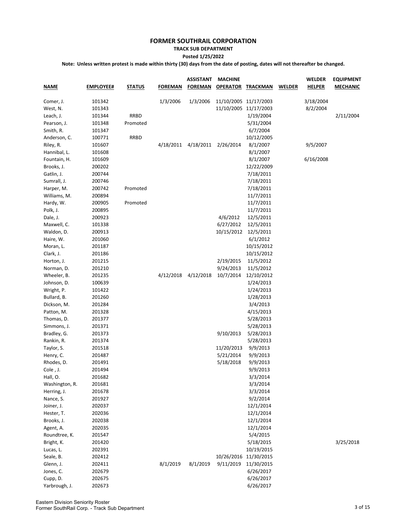#### **TRACK SUB DEPARTMENT**

**Posted 1/25/2022**

| <b>NAME</b>    | <b>EMPLOYEE#</b> | <b>STATUS</b> | <b>FOREMAN</b> | <b>ASSISTANT</b><br><b>FOREMAN</b> | <b>MACHINE</b>        | <b>OPERATOR TRACKMAN</b> | <b>WELDER</b> | <b>WELDER</b><br><b>HELPER</b> | <b>EQUIPMENT</b><br><b>MECHANIC</b> |
|----------------|------------------|---------------|----------------|------------------------------------|-----------------------|--------------------------|---------------|--------------------------------|-------------------------------------|
| Comer, J.      | 101342           |               | 1/3/2006       | 1/3/2006                           | 11/10/2005 11/17/2003 |                          |               | 3/18/2004                      |                                     |
| West, N.       | 101343           |               |                |                                    |                       | 11/10/2005 11/17/2003    |               | 8/2/2004                       |                                     |
| Leach, J.      | 101344           | RRBD          |                |                                    |                       | 1/19/2004                |               |                                | 2/11/2004                           |
| Pearson, J.    | 101348           | Promoted      |                |                                    |                       | 5/31/2004                |               |                                |                                     |
| Smith, R.      | 101347           |               |                |                                    |                       | 6/7/2004                 |               |                                |                                     |
| Anderson, C.   | 100771           | <b>RRBD</b>   |                |                                    |                       | 10/12/2005               |               |                                |                                     |
| Riley, R.      | 101607           |               | 4/18/2011      | 4/18/2011                          | 2/26/2014             | 8/1/2007                 |               | 9/5/2007                       |                                     |
| Hannibal, L.   | 101608           |               |                |                                    |                       | 8/1/2007                 |               |                                |                                     |
| Fountain, H.   | 101609           |               |                |                                    |                       | 8/1/2007                 |               | 6/16/2008                      |                                     |
| Brooks, J.     | 200202           |               |                |                                    |                       | 12/22/2009               |               |                                |                                     |
| Gatlin, J.     | 200744           |               |                |                                    |                       | 7/18/2011                |               |                                |                                     |
| Sumrall, J.    | 200746           |               |                |                                    |                       | 7/18/2011                |               |                                |                                     |
| Harper, M.     | 200742           | Promoted      |                |                                    |                       | 7/18/2011                |               |                                |                                     |
| Williams, M.   | 200894           |               |                |                                    |                       | 11/7/2011                |               |                                |                                     |
| Hardy, W.      | 200905           | Promoted      |                |                                    |                       | 11/7/2011                |               |                                |                                     |
| Polk, J.       | 200895           |               |                |                                    |                       | 11/7/2011                |               |                                |                                     |
| Dale, J.       | 200923           |               |                |                                    | 4/6/2012              | 12/5/2011                |               |                                |                                     |
| Maxwell, C.    | 101338           |               |                |                                    | 6/27/2012             | 12/5/2011                |               |                                |                                     |
| Waldon, D.     | 200913           |               |                |                                    | 10/15/2012            | 12/5/2011                |               |                                |                                     |
| Haire, W.      | 201060           |               |                |                                    |                       | 6/1/2012                 |               |                                |                                     |
| Moran, L.      | 201187           |               |                |                                    |                       | 10/15/2012               |               |                                |                                     |
| Clark, J.      | 201186           |               |                |                                    |                       | 10/15/2012               |               |                                |                                     |
| Horton, J.     | 201215           |               |                |                                    | 2/19/2015             | 11/5/2012                |               |                                |                                     |
| Norman, D.     | 201210           |               |                |                                    | 9/24/2013             | 11/5/2012                |               |                                |                                     |
| Wheeler, B.    | 201235           |               | 4/12/2018      | 4/12/2018                          | 10/7/2014             | 12/10/2012               |               |                                |                                     |
| Johnson, D.    | 100639           |               |                |                                    |                       | 1/24/2013                |               |                                |                                     |
| Wright, P.     | 101422           |               |                |                                    |                       | 1/24/2013                |               |                                |                                     |
| Bullard, B.    | 201260           |               |                |                                    |                       | 1/28/2013                |               |                                |                                     |
| Dickson, M.    | 201284           |               |                |                                    |                       | 3/4/2013                 |               |                                |                                     |
| Patton, M.     | 201328           |               |                |                                    |                       | 4/15/2013                |               |                                |                                     |
| Thomas, D.     | 201377           |               |                |                                    |                       | 5/28/2013                |               |                                |                                     |
| Simmons, J.    | 201371           |               |                |                                    |                       | 5/28/2013                |               |                                |                                     |
| Bradley, G.    | 201373           |               |                |                                    | 9/10/2013             | 5/28/2013                |               |                                |                                     |
| Rankin, R.     | 201374           |               |                |                                    |                       | 5/28/2013                |               |                                |                                     |
| Taylor, S.     | 201518           |               |                |                                    | 11/20/2013            | 9/9/2013                 |               |                                |                                     |
| Henry, C.      | 201487           |               |                |                                    | 5/21/2014             | 9/9/2013                 |               |                                |                                     |
| Rhodes, D.     | 201491           |               |                |                                    | 5/18/2018             | 9/9/2013                 |               |                                |                                     |
| Cole , J.      | 201494           |               |                |                                    |                       | 9/9/2013                 |               |                                |                                     |
| Hall, O.       | 201682           |               |                |                                    |                       | 3/3/2014                 |               |                                |                                     |
| Washington, R. | 201681           |               |                |                                    |                       | 3/3/2014                 |               |                                |                                     |
| Herring, J.    | 201678           |               |                |                                    |                       | 3/3/2014                 |               |                                |                                     |
| Nance, S.      | 201927           |               |                |                                    |                       | 9/2/2014                 |               |                                |                                     |
| Joiner, J.     | 202037           |               |                |                                    |                       | 12/1/2014                |               |                                |                                     |
| Hester, T.     | 202036           |               |                |                                    |                       | 12/1/2014                |               |                                |                                     |
| Brooks, J.     | 202038           |               |                |                                    |                       | 12/1/2014                |               |                                |                                     |
| Agent, A.      | 202035           |               |                |                                    |                       | 12/1/2014                |               |                                |                                     |
| Roundtree, K.  | 201547           |               |                |                                    |                       | 5/4/2015                 |               |                                |                                     |
| Bright, K.     | 201420           |               |                |                                    |                       | 5/18/2015                |               |                                | 3/25/2018                           |
| Lucas, L.      | 202391           |               |                |                                    |                       | 10/19/2015               |               |                                |                                     |
| Seale, B.      | 202412           |               |                |                                    | 10/26/2016            | 11/30/2015               |               |                                |                                     |
| Glenn, J.      | 202411           |               | 8/1/2019       | 8/1/2019                           | 9/11/2019             | 11/30/2015               |               |                                |                                     |
| Jones, C.      | 202679           |               |                |                                    |                       | 6/26/2017                |               |                                |                                     |
| Cupp, D.       | 202675           |               |                |                                    |                       | 6/26/2017                |               |                                |                                     |
| Yarbrough, J.  | 202673           |               |                |                                    |                       | 6/26/2017                |               |                                |                                     |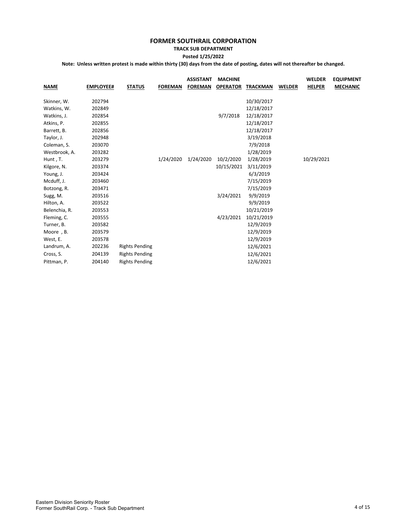# **TRACK SUB DEPARTMENT**

**Posted 1/25/2022**

| <b>NAME</b>   | <b>EMPLOYEE#</b> | <b>STATUS</b>         | <b>FOREMAN</b> | <b>ASSISTANT</b><br><b>FOREMAN</b> | <b>MACHINE</b><br><b>OPERATOR</b> | <b>TRACKMAN</b> | <b>WELDER</b> | <b>WELDER</b><br><b>HELPER</b> | <b>EQUIPMENT</b><br><b>MECHANIC</b> |
|---------------|------------------|-----------------------|----------------|------------------------------------|-----------------------------------|-----------------|---------------|--------------------------------|-------------------------------------|
| Skinner, W.   | 202794           |                       |                |                                    |                                   | 10/30/2017      |               |                                |                                     |
| Watkins, W.   | 202849           |                       |                |                                    |                                   | 12/18/2017      |               |                                |                                     |
| Watkins, J.   | 202854           |                       |                |                                    | 9/7/2018                          | 12/18/2017      |               |                                |                                     |
| Atkins, P.    | 202855           |                       |                |                                    |                                   | 12/18/2017      |               |                                |                                     |
| Barrett, B.   | 202856           |                       |                |                                    |                                   | 12/18/2017      |               |                                |                                     |
| Taylor, J.    | 202948           |                       |                |                                    |                                   | 3/19/2018       |               |                                |                                     |
| Coleman, S.   | 203070           |                       |                |                                    |                                   | 7/9/2018        |               |                                |                                     |
| Westbrook, A. | 203282           |                       |                |                                    |                                   | 1/28/2019       |               |                                |                                     |
| Hunt, T.      | 203279           |                       | 1/24/2020      | 1/24/2020                          | 10/2/2020                         | 1/28/2019       |               | 10/29/2021                     |                                     |
| Kilgore, N.   | 203374           |                       |                |                                    | 10/15/2021                        | 3/11/2019       |               |                                |                                     |
| Young, J.     | 203424           |                       |                |                                    |                                   | 6/3/2019        |               |                                |                                     |
| Mcduff, J.    | 203460           |                       |                |                                    |                                   | 7/15/2019       |               |                                |                                     |
| Botzong, R.   | 203471           |                       |                |                                    |                                   | 7/15/2019       |               |                                |                                     |
| Sugg, M.      | 203516           |                       |                |                                    | 3/24/2021                         | 9/9/2019        |               |                                |                                     |
| Hilton, A.    | 203522           |                       |                |                                    |                                   | 9/9/2019        |               |                                |                                     |
| Belenchia, R. | 203553           |                       |                |                                    |                                   | 10/21/2019      |               |                                |                                     |
| Fleming, C.   | 203555           |                       |                |                                    | 4/23/2021                         | 10/21/2019      |               |                                |                                     |
| Turner, B.    | 203582           |                       |                |                                    |                                   | 12/9/2019       |               |                                |                                     |
| Moore, B.     | 203579           |                       |                |                                    |                                   | 12/9/2019       |               |                                |                                     |
| West, E.      | 203578           |                       |                |                                    |                                   | 12/9/2019       |               |                                |                                     |
| Landrum, A.   | 202236           | <b>Rights Pending</b> |                |                                    |                                   | 12/6/2021       |               |                                |                                     |
| Cross, S.     | 204139           | <b>Rights Pending</b> |                |                                    |                                   | 12/6/2021       |               |                                |                                     |
| Pittman, P.   | 204140           | <b>Rights Pending</b> |                |                                    |                                   | 12/6/2021       |               |                                |                                     |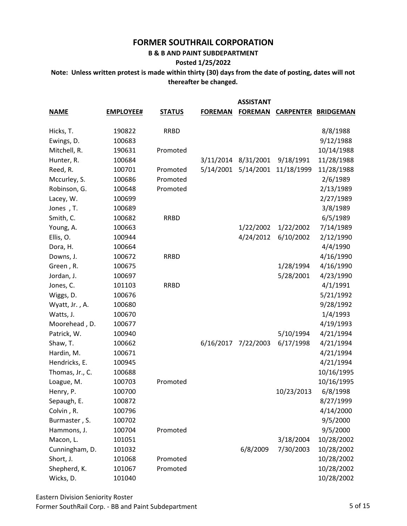**B & B AND PAINT SUBDEPARTMENT**

**Posted 1/25/2022**

**Note: Unless written protest is made within thirty (30) days from the date of posting, dates will not thereafter be changed.**

|                 |                  |               |                | <b>ASSISTANT</b> |            |                            |
|-----------------|------------------|---------------|----------------|------------------|------------|----------------------------|
| <b>NAME</b>     | <b>EMPLOYEE#</b> | <b>STATUS</b> | <b>FOREMAN</b> | <b>FOREMAN</b>   |            | <b>CARPENTER BRIDGEMAN</b> |
| Hicks, T.       | 190822           | <b>RRBD</b>   |                |                  |            | 8/8/1988                   |
| Ewings, D.      | 100683           |               |                |                  |            | 9/12/1988                  |
| Mitchell, R.    | 190631           | Promoted      |                |                  |            | 10/14/1988                 |
| Hunter, R.      | 100684           |               | 3/11/2014      | 8/31/2001        | 9/18/1991  | 11/28/1988                 |
| Reed, R.        | 100701           | Promoted      | 5/14/2001      | 5/14/2001        | 11/18/1999 | 11/28/1988                 |
| Mccurley, S.    | 100686           | Promoted      |                |                  |            | 2/6/1989                   |
| Robinson, G.    | 100648           | Promoted      |                |                  |            | 2/13/1989                  |
| Lacey, W.       | 100699           |               |                |                  |            | 2/27/1989                  |
| Jones, T.       | 100689           |               |                |                  |            | 3/8/1989                   |
| Smith, C.       | 100682           | <b>RRBD</b>   |                |                  |            | 6/5/1989                   |
| Young, A.       | 100663           |               |                | 1/22/2002        | 1/22/2002  | 7/14/1989                  |
| Ellis, O.       | 100944           |               |                | 4/24/2012        | 6/10/2002  | 2/12/1990                  |
| Dora, H.        | 100664           |               |                |                  |            | 4/4/1990                   |
| Downs, J.       | 100672           | <b>RRBD</b>   |                |                  |            | 4/16/1990                  |
| Green, R.       | 100675           |               |                |                  | 1/28/1994  | 4/16/1990                  |
| Jordan, J.      | 100697           |               |                |                  | 5/28/2001  | 4/23/1990                  |
| Jones, C.       | 101103           | <b>RRBD</b>   |                |                  |            | 4/1/1991                   |
| Wiggs, D.       | 100676           |               |                |                  |            | 5/21/1992                  |
| Wyatt, Jr., A.  | 100680           |               |                |                  |            | 9/28/1992                  |
| Watts, J.       | 100670           |               |                |                  |            | 1/4/1993                   |
| Moorehead, D.   | 100677           |               |                |                  |            | 4/19/1993                  |
| Patrick, W.     | 100940           |               |                |                  | 5/10/1994  | 4/21/1994                  |
| Shaw, T.        | 100662           |               | 6/16/2017      | 7/22/2003        | 6/17/1998  | 4/21/1994                  |
| Hardin, M.      | 100671           |               |                |                  |            | 4/21/1994                  |
| Hendricks, E.   | 100945           |               |                |                  |            | 4/21/1994                  |
| Thomas, Jr., C. | 100688           |               |                |                  |            | 10/16/1995                 |
| Loague, M.      | 100703           | Promoted      |                |                  |            | 10/16/1995                 |
| Henry, P.       | 100700           |               |                |                  | 10/23/2013 | 6/8/1998                   |
| Sepaugh, E.     | 100872           |               |                |                  |            | 8/27/1999                  |
| Colvin, R.      | 100796           |               |                |                  |            | 4/14/2000                  |
| Burmaster, S.   | 100702           |               |                |                  |            | 9/5/2000                   |
| Hammons, J.     | 100704           | Promoted      |                |                  |            | 9/5/2000                   |
| Macon, L.       | 101051           |               |                |                  | 3/18/2004  | 10/28/2002                 |
| Cunningham, D.  | 101032           |               |                | 6/8/2009         | 7/30/2003  | 10/28/2002                 |
| Short, J.       | 101068           | Promoted      |                |                  |            | 10/28/2002                 |
| Shepherd, K.    | 101067           | Promoted      |                |                  |            | 10/28/2002                 |
| Wicks, D.       | 101040           |               |                |                  |            | 10/28/2002                 |

Eastern Division Seniority Roster Former SouthRail Corp. - BB and Paint Subdepartment 5 06 15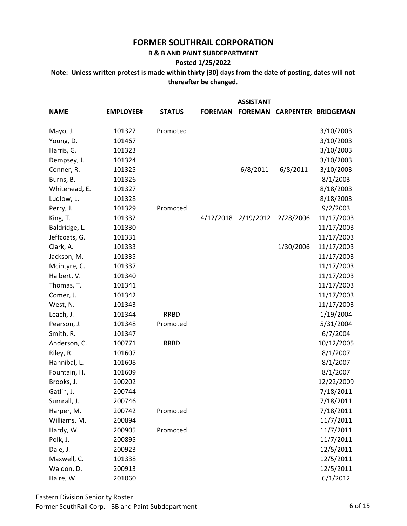**B & B AND PAINT SUBDEPARTMENT**

#### **Posted 1/25/2022**

|               |                  |               |                | <b>ASSISTANT</b> |           |                            |
|---------------|------------------|---------------|----------------|------------------|-----------|----------------------------|
| <b>NAME</b>   | <b>EMPLOYEE#</b> | <b>STATUS</b> | <b>FOREMAN</b> | <b>FOREMAN</b>   |           | <b>CARPENTER BRIDGEMAN</b> |
| Mayo, J.      | 101322           | Promoted      |                |                  |           | 3/10/2003                  |
| Young, D.     | 101467           |               |                |                  |           | 3/10/2003                  |
| Harris, G.    | 101323           |               |                |                  |           | 3/10/2003                  |
| Dempsey, J.   | 101324           |               |                |                  |           | 3/10/2003                  |
| Conner, R.    | 101325           |               |                | 6/8/2011         | 6/8/2011  | 3/10/2003                  |
| Burns, B.     | 101326           |               |                |                  |           | 8/1/2003                   |
| Whitehead, E. | 101327           |               |                |                  |           | 8/18/2003                  |
| Ludlow, L.    | 101328           |               |                |                  |           | 8/18/2003                  |
| Perry, J.     | 101329           | Promoted      |                |                  |           | 9/2/2003                   |
| King, T.      | 101332           |               | 4/12/2018      | 2/19/2012        | 2/28/2006 | 11/17/2003                 |
| Baldridge, L. | 101330           |               |                |                  |           | 11/17/2003                 |
| Jeffcoats, G. | 101331           |               |                |                  |           | 11/17/2003                 |
| Clark, A.     | 101333           |               |                |                  | 1/30/2006 | 11/17/2003                 |
| Jackson, M.   | 101335           |               |                |                  |           | 11/17/2003                 |
| Mcintyre, C.  | 101337           |               |                |                  |           | 11/17/2003                 |
| Halbert, V.   | 101340           |               |                |                  |           | 11/17/2003                 |
| Thomas, T.    | 101341           |               |                |                  |           | 11/17/2003                 |
| Comer, J.     | 101342           |               |                |                  |           | 11/17/2003                 |
| West, N.      | 101343           |               |                |                  |           | 11/17/2003                 |
| Leach, J.     | 101344           | <b>RRBD</b>   |                |                  |           | 1/19/2004                  |
| Pearson, J.   | 101348           | Promoted      |                |                  |           | 5/31/2004                  |
| Smith, R.     | 101347           |               |                |                  |           | 6/7/2004                   |
| Anderson, C.  | 100771           | <b>RRBD</b>   |                |                  |           | 10/12/2005                 |
| Riley, R.     | 101607           |               |                |                  |           | 8/1/2007                   |
| Hannibal, L.  | 101608           |               |                |                  |           | 8/1/2007                   |
| Fountain, H.  | 101609           |               |                |                  |           | 8/1/2007                   |
| Brooks, J.    | 200202           |               |                |                  |           | 12/22/2009                 |
| Gatlin, J.    | 200744           |               |                |                  |           | 7/18/2011                  |
| Sumrall, J.   | 200746           |               |                |                  |           | 7/18/2011                  |
| Harper, M.    | 200742           | Promoted      |                |                  |           | 7/18/2011                  |
| Williams, M.  | 200894           |               |                |                  |           | 11/7/2011                  |
| Hardy, W.     | 200905           | Promoted      |                |                  |           | 11/7/2011                  |
| Polk, J.      | 200895           |               |                |                  |           | 11/7/2011                  |
| Dale, J.      | 200923           |               |                |                  |           | 12/5/2011                  |
| Maxwell, C.   | 101338           |               |                |                  |           | 12/5/2011                  |
| Waldon, D.    | 200913           |               |                |                  |           | 12/5/2011                  |
| Haire, W.     | 201060           |               |                |                  |           | 6/1/2012                   |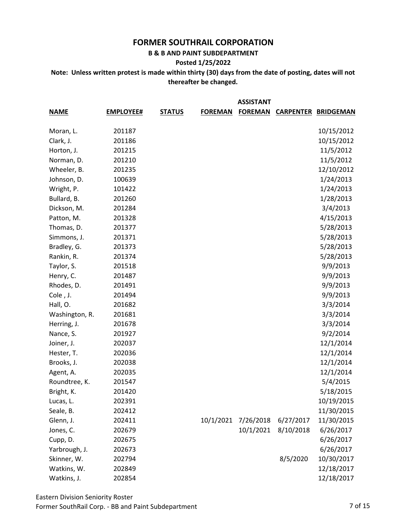#### **B & B AND PAINT SUBDEPARTMENT**

#### **Posted 1/25/2022**

**Note: Unless written protest is made within thirty (30) days from the date of posting, dates will not thereafter be changed.**

|                |                  |               |                | <b>ASSISTANT</b> |           |                            |
|----------------|------------------|---------------|----------------|------------------|-----------|----------------------------|
| <b>NAME</b>    | <b>EMPLOYEE#</b> | <b>STATUS</b> | <b>FOREMAN</b> | <b>FOREMAN</b>   |           | <b>CARPENTER BRIDGEMAN</b> |
|                |                  |               |                |                  |           |                            |
| Moran, L.      | 201187           |               |                |                  |           | 10/15/2012                 |
| Clark, J.      | 201186           |               |                |                  |           | 10/15/2012                 |
| Horton, J.     | 201215           |               |                |                  |           | 11/5/2012                  |
| Norman, D.     | 201210           |               |                |                  |           | 11/5/2012                  |
| Wheeler, B.    | 201235           |               |                |                  |           | 12/10/2012                 |
| Johnson, D.    | 100639           |               |                |                  |           | 1/24/2013                  |
| Wright, P.     | 101422           |               |                |                  |           | 1/24/2013                  |
| Bullard, B.    | 201260           |               |                |                  |           | 1/28/2013                  |
| Dickson, M.    | 201284           |               |                |                  |           | 3/4/2013                   |
| Patton, M.     | 201328           |               |                |                  |           | 4/15/2013                  |
| Thomas, D.     | 201377           |               |                |                  |           | 5/28/2013                  |
| Simmons, J.    | 201371           |               |                |                  |           | 5/28/2013                  |
| Bradley, G.    | 201373           |               |                |                  |           | 5/28/2013                  |
| Rankin, R.     | 201374           |               |                |                  |           | 5/28/2013                  |
| Taylor, S.     | 201518           |               |                |                  |           | 9/9/2013                   |
| Henry, C.      | 201487           |               |                |                  |           | 9/9/2013                   |
| Rhodes, D.     | 201491           |               |                |                  |           | 9/9/2013                   |
| Cole, J.       | 201494           |               |                |                  |           | 9/9/2013                   |
| Hall, O.       | 201682           |               |                |                  |           | 3/3/2014                   |
| Washington, R. | 201681           |               |                |                  |           | 3/3/2014                   |
| Herring, J.    | 201678           |               |                |                  |           | 3/3/2014                   |
| Nance, S.      | 201927           |               |                |                  |           | 9/2/2014                   |
| Joiner, J.     | 202037           |               |                |                  |           | 12/1/2014                  |
| Hester, T.     | 202036           |               |                |                  |           | 12/1/2014                  |
| Brooks, J.     | 202038           |               |                |                  |           | 12/1/2014                  |
| Agent, A.      | 202035           |               |                |                  |           | 12/1/2014                  |
| Roundtree, K.  | 201547           |               |                |                  |           | 5/4/2015                   |
| Bright, K.     | 201420           |               |                |                  |           | 5/18/2015                  |
| Lucas, L.      | 202391           |               |                |                  |           | 10/19/2015                 |
| Seale, B.      | 202412           |               |                |                  |           | 11/30/2015                 |
| Glenn, J.      | 202411           |               | 10/1/2021      | 7/26/2018        | 6/27/2017 | 11/30/2015                 |
| Jones, C.      | 202679           |               |                | 10/1/2021        | 8/10/2018 | 6/26/2017                  |
| Cupp, D.       | 202675           |               |                |                  |           | 6/26/2017                  |
| Yarbrough, J.  | 202673           |               |                |                  |           | 6/26/2017                  |
| Skinner, W.    | 202794           |               |                |                  | 8/5/2020  | 10/30/2017                 |
| Watkins, W.    | 202849           |               |                |                  |           | 12/18/2017                 |
| Watkins, J.    | 202854           |               |                |                  |           | 12/18/2017                 |

Eastern Division Seniority Roster Former SouthRail Corp. - BB and Paint Subdepartment 7 of 15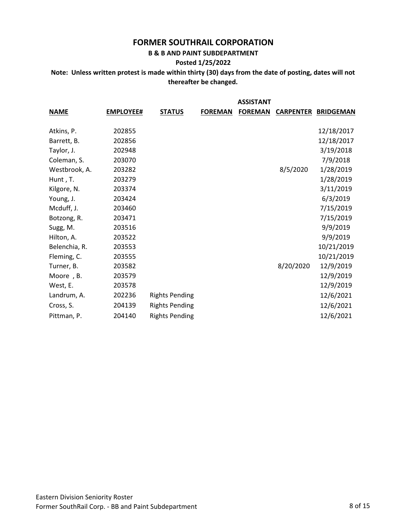#### **B & B AND PAINT SUBDEPARTMENT**

#### **Posted 1/25/2022**

|               |                  |                       |                | <b>ASSISTANT</b> |           |                            |
|---------------|------------------|-----------------------|----------------|------------------|-----------|----------------------------|
| <b>NAME</b>   | <b>EMPLOYEE#</b> | <b>STATUS</b>         | <b>FOREMAN</b> | <b>FOREMAN</b>   |           | <b>CARPENTER BRIDGEMAN</b> |
| Atkins, P.    | 202855           |                       |                |                  |           | 12/18/2017                 |
| Barrett, B.   | 202856           |                       |                |                  |           | 12/18/2017                 |
| Taylor, J.    | 202948           |                       |                |                  |           | 3/19/2018                  |
| Coleman, S.   | 203070           |                       |                |                  |           | 7/9/2018                   |
| Westbrook, A. | 203282           |                       |                |                  | 8/5/2020  | 1/28/2019                  |
| Hunt, T.      | 203279           |                       |                |                  |           | 1/28/2019                  |
| Kilgore, N.   | 203374           |                       |                |                  |           | 3/11/2019                  |
| Young, J.     | 203424           |                       |                |                  |           | 6/3/2019                   |
| Mcduff, J.    | 203460           |                       |                |                  |           | 7/15/2019                  |
| Botzong, R.   | 203471           |                       |                |                  |           | 7/15/2019                  |
| Sugg, M.      | 203516           |                       |                |                  |           | 9/9/2019                   |
| Hilton, A.    | 203522           |                       |                |                  |           | 9/9/2019                   |
| Belenchia, R. | 203553           |                       |                |                  |           | 10/21/2019                 |
| Fleming, C.   | 203555           |                       |                |                  |           | 10/21/2019                 |
| Turner, B.    | 203582           |                       |                |                  | 8/20/2020 | 12/9/2019                  |
| Moore, B.     | 203579           |                       |                |                  |           | 12/9/2019                  |
| West, E.      | 203578           |                       |                |                  |           | 12/9/2019                  |
| Landrum, A.   | 202236           | <b>Rights Pending</b> |                |                  |           | 12/6/2021                  |
| Cross, S.     | 204139           | <b>Rights Pending</b> |                |                  |           | 12/6/2021                  |
| Pittman, P.   | 204140           | <b>Rights Pending</b> |                |                  |           | 12/6/2021                  |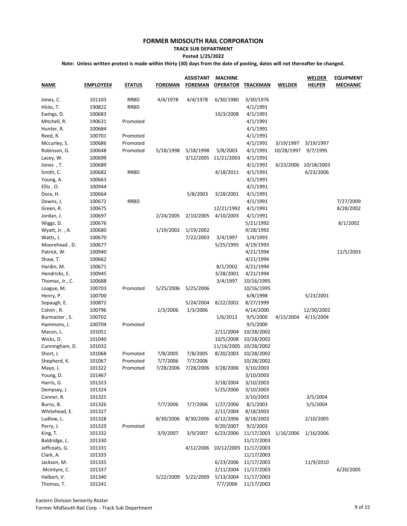#### **TRACK SUB DEPARTMENT Posted 1/25/2022**

| <b>NAME</b>     | <b>EMPLOYEE#</b> | <b>STATUS</b> | <b>FOREMAN</b> | <b>ASSISTANT</b><br><b>FOREMAN</b> | <b>MACHINE</b><br><b>OPERATOR</b> | <b>TRACKMAN</b>       | <b>WELDER</b> | <b>WELDER</b><br><b>HELPER</b> | <b>EQUIPMENT</b><br><b>MECHANIC</b> |
|-----------------|------------------|---------------|----------------|------------------------------------|-----------------------------------|-----------------------|---------------|--------------------------------|-------------------------------------|
| Jones, C.       | 101103           | <b>RRBD</b>   | 4/4/1978       | 4/4/1978                           | 6/30/1980                         | 3/30/1976             |               |                                |                                     |
| Hicks, T.       | 190822           | <b>RRBD</b>   |                |                                    |                                   | 4/1/1991              |               |                                |                                     |
| Ewings, D.      | 100683           |               |                |                                    | 10/3/2008                         | 4/1/1991              |               |                                |                                     |
| Mitchell, R.    | 190631           | Promoted      |                |                                    |                                   | 4/1/1991              |               |                                |                                     |
| Hunter, R.      | 100684           |               |                |                                    |                                   | 4/1/1991              |               |                                |                                     |
| Reed, R.        | 100701           | Promoted      |                |                                    |                                   | 4/1/1991              |               |                                |                                     |
| Mccurley, S.    | 100686           | Promoted      |                |                                    |                                   | 4/1/1991              | 3/19/1997     | 3/19/1997                      |                                     |
| Robinson, G.    | 100648           | Promoted      | 5/18/1998      | 5/18/1998                          | 5/8/2003                          | 4/1/1991              | 10/28/1997    | 9/7/1995                       |                                     |
| Lacey, W.       | 100699           |               |                | 3/12/2005                          | 11/21/2003                        | 4/1/1991              |               |                                |                                     |
| Jones, T.       | 100689           |               |                |                                    |                                   | 4/1/1991              | 6/23/2006     | 10/18/2003                     |                                     |
| Smith, C.       | 100682           | <b>RRBD</b>   |                |                                    | 4/18/2011                         | 4/1/1991              |               | 6/23/2006                      |                                     |
| Young, A.       | 100663           |               |                |                                    |                                   | 4/1/1991              |               |                                |                                     |
| Ellis, O.       | 100944           |               |                |                                    |                                   | 4/1/1991              |               |                                |                                     |
| Dora, H.        | 100664           |               |                | 5/8/2003                           | 3/28/2001                         | 4/1/1991              |               |                                |                                     |
| Downs, J.       | 100672           | <b>RRBD</b>   |                |                                    |                                   | 4/1/1991              |               |                                | 7/27/2009                           |
| Green, R.       | 100675           |               |                |                                    | 12/21/1992                        | 4/1/1991              |               |                                | 8/28/2002                           |
| Jordan, J.      | 100697           |               | 2/24/2005      | 2/10/2005                          | 4/10/2003                         | 4/1/1991              |               |                                |                                     |
| Wiggs, D.       | 100676           |               |                |                                    |                                   | 5/21/1992             |               |                                | 8/1/2002                            |
| Wyatt, Jr., A.  | 100680           |               | 1/19/2002      | 1/19/2002                          |                                   | 9/28/1992             |               |                                |                                     |
| Watts, J.       | 100670           |               |                | 7/22/2003                          | 3/4/1997                          | 1/4/1993              |               |                                |                                     |
| Moorehead, D.   | 100677           |               |                |                                    | 5/25/1995                         | 4/19/1993             |               |                                |                                     |
| Patrick, W.     | 100940           |               |                |                                    |                                   | 4/21/1994             |               |                                | 12/5/2003                           |
| Shaw, T.        | 100662           |               |                |                                    |                                   | 4/21/1994             |               |                                |                                     |
| Hardin, M.      | 100671           |               |                |                                    | 8/1/2002                          | 4/21/1994             |               |                                |                                     |
| Hendricks, E.   | 100945           |               |                |                                    | 3/28/2001                         | 4/21/1994             |               |                                |                                     |
| Thomas, Jr., C. | 100688           |               |                |                                    | 3/4/1997                          | 10/16/1995            |               |                                |                                     |
| Loague, M.      | 100703           | Promoted      | 5/25/2006      | 5/25/2006                          |                                   | 10/16/1995            |               |                                |                                     |
| Henry, P.       | 100700           |               |                |                                    |                                   | 6/8/1998              |               | 5/23/2001                      |                                     |
| Sepaugh, E.     | 100872           |               |                | 5/24/2004                          | 8/22/2002                         | 8/27/1999             |               |                                |                                     |
| Colvin, R.      | 100796           |               | 1/3/2006       | 1/3/2006                           |                                   | 4/14/2000             |               | 12/30/2002                     |                                     |
| Burmaster, S.   | 100702           |               |                |                                    | 1/6/2012                          | 9/5/2000              | 4/15/2004     | 4/15/2004                      |                                     |
| Hammons, J.     | 100704           | Promoted      |                |                                    |                                   | 9/5/2000              |               |                                |                                     |
| Macon, L.       | 101051           |               |                |                                    | 2/11/2004                         | 10/28/2002            |               |                                |                                     |
| Wicks, D.       | 101040           |               |                |                                    | 10/5/2008                         | 10/28/2002            |               |                                |                                     |
| Cunningham, D.  | 101032           |               |                |                                    |                                   | 11/16/2005 10/28/2002 |               |                                |                                     |
| Short, J.       | 101068           | Promoted      | 7/8/2005       | 7/8/2005                           | 8/20/2003                         | 10/28/2002            |               |                                |                                     |
| Shepherd, K.    | 101067           | Promoted      | 7/7/2006       | 7/7/2006                           |                                   | 10/28/2002            |               |                                |                                     |
| Mayo, J.        | 101322           | Promoted      | 7/28/2006      | 7/28/2006                          | 3/28/2006                         | 3/10/2003             |               |                                |                                     |
| Young, D.       | 101467           |               |                |                                    |                                   | 3/10/2003             |               |                                |                                     |
| Harris, G.      | 101323           |               |                |                                    | 3/18/2004                         | 3/10/2003             |               |                                |                                     |
| Dempsey, J.     | 101324           |               |                |                                    | 5/25/2006                         | 3/10/2003             |               |                                |                                     |
| Conner, R.      | 101325           |               |                |                                    |                                   | 3/10/2003             |               | 3/5/2004                       |                                     |
| Burns, B.       | 101326           |               | 7/7/2006       | 7/7/2006                           | 1/27/2006                         | 8/1/2003              |               | 5/5/2004                       |                                     |
| Whitehead, E.   | 101327           |               |                |                                    | 2/11/2004                         | 8/18/2003             |               |                                |                                     |
| Ludlow, L.      | 101328           |               | 8/30/2006      | 8/30/2006                          | 4/12/2006                         | 8/18/2003             |               | 2/10/2005                      |                                     |
| Perry, J.       | 101329           | Promoted      |                |                                    | 9/20/2007                         | 9/2/2003              |               |                                |                                     |
| King, T.        |                  |               | 3/9/2007       | 3/9/2007                           | 6/23/2006                         | 11/17/2003            |               | 1/16/2006                      |                                     |
| Baldridge, L.   | 101332<br>101330 |               |                |                                    |                                   | 11/17/2003            | 1/16/2006     |                                |                                     |
| Jeffcoats, G.   | 101331           |               |                |                                    | 4/12/2006 10/12/2005 11/17/2003   |                       |               |                                |                                     |
| Clark, A.       | 101333           |               |                |                                    |                                   | 11/17/2003            |               |                                |                                     |
| Jackson, M.     | 101335           |               |                |                                    | 6/23/2006                         | 11/17/2003            |               | 11/9/2010                      |                                     |
| Mcintyre, C.    | 101337           |               |                |                                    | 2/11/2004                         | 11/17/2003            |               |                                | 6/20/2005                           |
|                 |                  |               |                |                                    |                                   |                       |               |                                |                                     |
| Halbert, V.     | 101340<br>101341 |               | 5/22/2009      | 5/22/2009                          | 5/13/2004<br>7/7/2006             | 11/17/2003            |               |                                |                                     |
| Thomas, T.      |                  |               |                |                                    |                                   | 11/17/2003            |               |                                |                                     |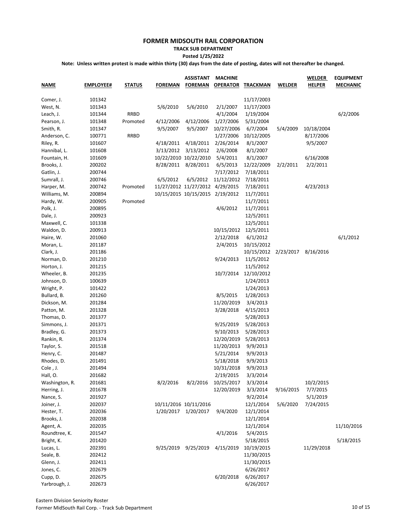#### **TRACK SUB DEPARTMENT Posted 1/25/2022**

| <b>NAME</b>                | <b>EMPLOYEE#</b> | <b>STATUS</b> | <b>FOREMAN</b> | <b>ASSISTANT</b><br><u>FOREMAN</u> | <b>MACHINE</b><br><b>OPERATOR</b> | TRACKMAN              | <b>WELDER</b> | <b>WELDER</b><br><b>HELPER</b> | <b>EQUIPMENT</b><br><b>MECHANIC</b> |
|----------------------------|------------------|---------------|----------------|------------------------------------|-----------------------------------|-----------------------|---------------|--------------------------------|-------------------------------------|
| Comer, J.                  | 101342           |               |                |                                    |                                   | 11/17/2003            |               |                                |                                     |
| West, N.                   | 101343           |               | 5/6/2010       | 5/6/2010                           | 2/1/2007                          | 11/17/2003            |               |                                |                                     |
| Leach, J.                  | 101344           | <b>RRBD</b>   |                |                                    | 4/1/2004                          | 1/19/2004             |               |                                | 6/2/2006                            |
| Pearson, J.                | 101348           | Promoted      | 4/12/2006      | 4/12/2006                          | 1/27/2006                         | 5/31/2004             |               |                                |                                     |
| Smith, R.                  | 101347           |               | 9/5/2007       | 9/5/2007                           | 10/27/2006                        | 6/7/2004              | 5/4/2009      | 10/18/2004                     |                                     |
| Anderson, C.               | 100771           | <b>RRBD</b>   |                |                                    | 1/27/2006                         | 10/12/2005            |               | 8/17/2006                      |                                     |
| Riley, R.                  | 101607           |               | 4/18/2011      | 4/18/2011                          | 2/26/2014                         | 8/1/2007              |               | 9/5/2007                       |                                     |
| Hannibal, L.               | 101608           |               | 3/13/2012      | 3/13/2012                          | 2/6/2008                          | 8/1/2007              |               |                                |                                     |
| Fountain, H.               | 101609           |               |                | 10/22/2010 10/22/2010              | 5/4/2011                          | 8/1/2007              |               | 6/16/2008                      |                                     |
| Brooks, J.                 | 200202           |               | 8/28/2011      | 8/28/2011                          | 6/5/2013                          | 12/22/2009            | 2/2/2011      | 2/2/2011                       |                                     |
| Gatlin, J.                 | 200744           |               |                |                                    | 7/17/2012                         | 7/18/2011             |               |                                |                                     |
| Sumrall, J.                | 200746           |               | 6/5/2012       | 6/5/2012                           | 11/12/2012                        | 7/18/2011             |               |                                |                                     |
| Harper, M.                 | 200742           | Promoted      |                | 11/27/2012 11/27/2012 4/29/2015    |                                   | 7/18/2011             |               | 4/23/2013                      |                                     |
| Williams, M.               | 200894           |               |                | 10/15/2015 10/15/2015 2/19/2012    |                                   | 11/7/2011             |               |                                |                                     |
| Hardy, W.                  | 200905           | Promoted      |                |                                    |                                   | 11/7/2011             |               |                                |                                     |
| Polk, J.                   | 200895           |               |                |                                    | 4/6/2012                          | 11/7/2011             |               |                                |                                     |
| Dale, J.                   | 200923           |               |                |                                    |                                   | 12/5/2011             |               |                                |                                     |
| Maxwell, C.                | 101338           |               |                |                                    |                                   | 12/5/2011             |               |                                |                                     |
| Waldon, D.                 | 200913           |               |                |                                    | 10/15/2012                        | 12/5/2011             |               |                                |                                     |
| Haire, W.                  | 201060           |               |                |                                    | 2/12/2018                         | 6/1/2012              |               |                                | 6/1/2012                            |
| Moran, L.                  | 201187           |               |                |                                    | 2/4/2015                          | 10/15/2012            |               |                                |                                     |
| Clark, J.                  | 201186           |               |                |                                    |                                   | 10/15/2012 2/23/2017  |               | 8/16/2016                      |                                     |
| Norman, D.                 | 201210           |               |                |                                    | 9/24/2013                         | 11/5/2012             |               |                                |                                     |
| Horton, J.                 | 201215           |               |                |                                    |                                   | 11/5/2012             |               |                                |                                     |
| Wheeler, B.                | 201235           |               |                |                                    | 10/7/2014                         | 12/10/2012            |               |                                |                                     |
| Johnson, D.                | 100639           |               |                |                                    |                                   | 1/24/2013             |               |                                |                                     |
| Wright, P.                 | 101422           |               |                |                                    |                                   | 1/24/2013             |               |                                |                                     |
| Bullard, B.                | 201260           |               |                |                                    | 8/5/2015                          | 1/28/2013             |               |                                |                                     |
| Dickson, M.                | 201284           |               |                |                                    | 11/20/2019                        | 3/4/2013              |               |                                |                                     |
| Patton, M.                 | 201328           |               |                |                                    | 3/28/2018                         | 4/15/2013             |               |                                |                                     |
| Thomas, D.                 | 201377           |               |                |                                    |                                   | 5/28/2013             |               |                                |                                     |
| Simmons, J.                | 201371           |               |                |                                    | 9/25/2019                         | 5/28/2013             |               |                                |                                     |
| Bradley, G.                | 201373           |               |                |                                    | 9/10/2013                         | 5/28/2013             |               |                                |                                     |
| Rankin, R.                 | 201374           |               |                |                                    | 12/20/2019                        | 5/28/2013             |               |                                |                                     |
| Taylor, S.                 | 201518           |               |                |                                    | 11/20/2013                        | 9/9/2013              |               |                                |                                     |
| Henry, C.                  | 201487           |               |                |                                    | 5/21/2014                         | 9/9/2013              |               |                                |                                     |
| Rhodes, D.                 | 201491           |               |                |                                    | 5/18/2018                         | 9/9/2013              |               |                                |                                     |
| Cole , J.                  | 201494           |               |                |                                    | 10/31/2018                        | 9/9/2013              |               |                                |                                     |
| Hall, O.                   | 201682           |               |                |                                    | 2/19/2015                         | 3/3/2014              |               |                                |                                     |
| Washington, R.             | 201681           |               | 8/2/2016       | 8/2/2016                           | 10/25/2017                        | 3/3/2014              |               | 10/2/2015                      |                                     |
| Herring, J.                | 201678           |               |                |                                    | 12/20/2019                        | 3/3/2014              | 9/16/2015     | 7/7/2015                       |                                     |
| Nance, S.                  | 201927           |               |                |                                    |                                   | 9/2/2014              |               | 5/1/2019                       |                                     |
| Joiner, J.                 | 202037           |               |                | 10/11/2016 10/11/2016              |                                   | 12/1/2014             | 5/6/2020      | 7/24/2015                      |                                     |
|                            | 202036           |               | 1/20/2017      | 1/20/2017                          | 9/4/2020                          | 12/1/2014             |               |                                |                                     |
| Hester, T.                 | 202038           |               |                |                                    |                                   | 12/1/2014             |               |                                |                                     |
| Brooks, J.                 |                  |               |                |                                    |                                   |                       |               |                                |                                     |
| Agent, A.<br>Roundtree, K. | 202035<br>201547 |               |                |                                    | 4/1/2016                          | 12/1/2014<br>5/4/2015 |               |                                | 11/10/2016                          |
|                            |                  |               |                |                                    |                                   |                       |               |                                |                                     |
| Bright, K.                 | 201420           |               |                |                                    |                                   | 5/18/2015             |               |                                | 5/18/2015                           |
| Lucas, L.                  | 202391           |               | 9/25/2019      | 9/25/2019                          | 4/15/2019                         | 10/19/2015            |               | 11/29/2018                     |                                     |
| Seale, B.                  | 202412           |               |                |                                    |                                   | 11/30/2015            |               |                                |                                     |
| Glenn, J.                  | 202411           |               |                |                                    |                                   | 11/30/2015            |               |                                |                                     |
| Jones, C.                  | 202679           |               |                |                                    |                                   | 6/26/2017             |               |                                |                                     |
| Cupp, D.                   | 202675           |               |                |                                    | 6/20/2018                         | 6/26/2017             |               |                                |                                     |
| Yarbrough, J.              | 202673           |               |                |                                    |                                   | 6/26/2017             |               |                                |                                     |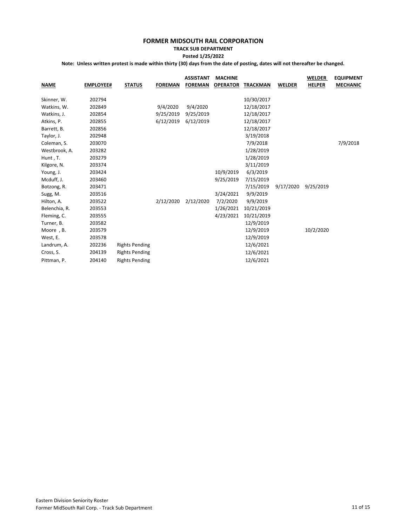#### **TRACK SUB DEPARTMENT Posted 1/25/2022**

| <b>NAME</b>   | <b>EMPLOYEE#</b> | <b>STATUS</b>         | <b>FOREMAN</b> | <b>ASSISTANT</b><br><b>FOREMAN</b> | <b>MACHINE</b><br><b>OPERATOR</b> | <b>TRACKMAN</b> | <b>WELDER</b> | <b>WELDER</b><br><b>HELPER</b> | <b>EQUIPMENT</b><br><b>MECHANIC</b> |
|---------------|------------------|-----------------------|----------------|------------------------------------|-----------------------------------|-----------------|---------------|--------------------------------|-------------------------------------|
| Skinner, W.   | 202794           |                       |                |                                    |                                   | 10/30/2017      |               |                                |                                     |
| Watkins, W.   | 202849           |                       | 9/4/2020       | 9/4/2020                           |                                   | 12/18/2017      |               |                                |                                     |
| Watkins, J.   | 202854           |                       | 9/25/2019      | 9/25/2019                          |                                   | 12/18/2017      |               |                                |                                     |
| Atkins, P.    | 202855           |                       | 6/12/2019      | 6/12/2019                          |                                   | 12/18/2017      |               |                                |                                     |
| Barrett, B.   | 202856           |                       |                |                                    |                                   | 12/18/2017      |               |                                |                                     |
| Taylor, J.    | 202948           |                       |                |                                    |                                   | 3/19/2018       |               |                                |                                     |
| Coleman, S.   | 203070           |                       |                |                                    |                                   | 7/9/2018        |               |                                | 7/9/2018                            |
| Westbrook, A. | 203282           |                       |                |                                    |                                   | 1/28/2019       |               |                                |                                     |
| Hunt, T.      | 203279           |                       |                |                                    |                                   | 1/28/2019       |               |                                |                                     |
| Kilgore, N.   | 203374           |                       |                |                                    |                                   | 3/11/2019       |               |                                |                                     |
| Young, J.     | 203424           |                       |                |                                    | 10/9/2019                         | 6/3/2019        |               |                                |                                     |
| Mcduff, J.    | 203460           |                       |                |                                    | 9/25/2019                         | 7/15/2019       |               |                                |                                     |
| Botzong, R.   | 203471           |                       |                |                                    |                                   | 7/15/2019       | 9/17/2020     | 9/25/2019                      |                                     |
| Sugg, M.      | 203516           |                       |                |                                    | 3/24/2021                         | 9/9/2019        |               |                                |                                     |
| Hilton, A.    | 203522           |                       | 2/12/2020      | 2/12/2020                          | 7/2/2020                          | 9/9/2019        |               |                                |                                     |
| Belenchia, R. | 203553           |                       |                |                                    | 1/26/2021                         | 10/21/2019      |               |                                |                                     |
| Fleming, C.   | 203555           |                       |                |                                    | 4/23/2021                         | 10/21/2019      |               |                                |                                     |
| Turner, B.    | 203582           |                       |                |                                    |                                   | 12/9/2019       |               |                                |                                     |
| Moore, B.     | 203579           |                       |                |                                    |                                   | 12/9/2019       |               | 10/2/2020                      |                                     |
| West, E.      | 203578           |                       |                |                                    |                                   | 12/9/2019       |               |                                |                                     |
| Landrum, A.   | 202236           | <b>Rights Pending</b> |                |                                    |                                   | 12/6/2021       |               |                                |                                     |
| Cross, S.     | 204139           | <b>Rights Pending</b> |                |                                    |                                   | 12/6/2021       |               |                                |                                     |
| Pittman, P.   | 204140           | <b>Rights Pending</b> |                |                                    |                                   | 12/6/2021       |               |                                |                                     |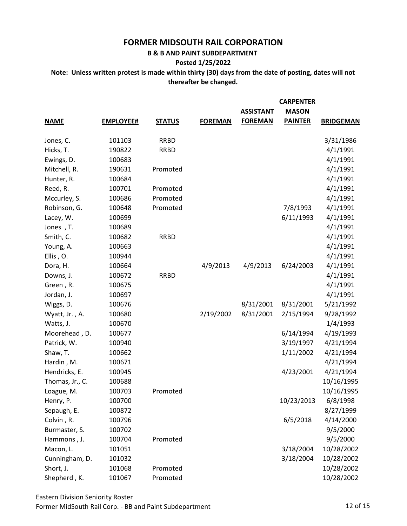**B & B AND PAINT SUBDEPARTMENT** 

### **Posted 1/25/2022**

**Note: Unless written protest is made within thirty (30) days from the date of posting, dates will not thereafter be changed.**

|                 |                  |               |                | <b>ASSISTANT</b> | <b>CARPENTER</b><br><b>MASON</b> |                  |
|-----------------|------------------|---------------|----------------|------------------|----------------------------------|------------------|
| <b>NAME</b>     | <b>EMPLOYEE#</b> | <b>STATUS</b> | <b>FOREMAN</b> | <b>FOREMAN</b>   | <b>PAINTER</b>                   | <b>BRIDGEMAN</b> |
| Jones, C.       | 101103           | <b>RRBD</b>   |                |                  |                                  | 3/31/1986        |
| Hicks, T.       | 190822           | <b>RRBD</b>   |                |                  |                                  | 4/1/1991         |
| Ewings, D.      | 100683           |               |                |                  |                                  | 4/1/1991         |
| Mitchell, R.    | 190631           | Promoted      |                |                  |                                  | 4/1/1991         |
| Hunter, R.      | 100684           |               |                |                  |                                  | 4/1/1991         |
| Reed, R.        | 100701           | Promoted      |                |                  |                                  | 4/1/1991         |
| Mccurley, S.    | 100686           | Promoted      |                |                  |                                  | 4/1/1991         |
| Robinson, G.    | 100648           | Promoted      |                |                  | 7/8/1993                         | 4/1/1991         |
| Lacey, W.       | 100699           |               |                |                  | 6/11/1993                        | 4/1/1991         |
| Jones, T.       | 100689           |               |                |                  |                                  | 4/1/1991         |
| Smith, C.       | 100682           | <b>RRBD</b>   |                |                  |                                  | 4/1/1991         |
| Young, A.       | 100663           |               |                |                  |                                  | 4/1/1991         |
| Ellis, O.       | 100944           |               |                |                  |                                  | 4/1/1991         |
| Dora, H.        | 100664           |               | 4/9/2013       | 4/9/2013         | 6/24/2003                        | 4/1/1991         |
| Downs, J.       | 100672           | <b>RRBD</b>   |                |                  |                                  | 4/1/1991         |
| Green, R.       | 100675           |               |                |                  |                                  | 4/1/1991         |
| Jordan, J.      | 100697           |               |                |                  |                                  | 4/1/1991         |
| Wiggs, D.       | 100676           |               |                | 8/31/2001        | 8/31/2001                        | 5/21/1992        |
| Wyatt, Jr., A.  | 100680           |               | 2/19/2002      | 8/31/2001        | 2/15/1994                        | 9/28/1992        |
| Watts, J.       | 100670           |               |                |                  |                                  | 1/4/1993         |
| Moorehead, D.   | 100677           |               |                |                  | 6/14/1994                        | 4/19/1993        |
| Patrick, W.     | 100940           |               |                |                  | 3/19/1997                        | 4/21/1994        |
| Shaw, T.        | 100662           |               |                |                  | 1/11/2002                        | 4/21/1994        |
| Hardin, M.      | 100671           |               |                |                  |                                  | 4/21/1994        |
| Hendricks, E.   | 100945           |               |                |                  | 4/23/2001                        | 4/21/1994        |
| Thomas, Jr., C. | 100688           |               |                |                  |                                  | 10/16/1995       |
| Loague, M.      | 100703           | Promoted      |                |                  |                                  | 10/16/1995       |
| Henry, P.       | 100700           |               |                |                  | 10/23/2013                       | 6/8/1998         |
| Sepaugh, E.     | 100872           |               |                |                  |                                  | 8/27/1999        |
| Colvin, R.      | 100796           |               |                |                  | 6/5/2018                         | 4/14/2000        |
| Burmaster, S.   | 100702           |               |                |                  |                                  | 9/5/2000         |
| Hammons, J.     | 100704           | Promoted      |                |                  |                                  | 9/5/2000         |
| Macon, L.       | 101051           |               |                |                  | 3/18/2004                        | 10/28/2002       |
| Cunningham, D.  | 101032           |               |                |                  | 3/18/2004                        | 10/28/2002       |
| Short, J.       | 101068           | Promoted      |                |                  |                                  | 10/28/2002       |
| Shepherd, K.    | 101067           | Promoted      |                |                  |                                  | 10/28/2002       |

Eastern Division Seniority Roster Former MidSouth Rail Corp. - BB and Paint Subdepartment 12 of 15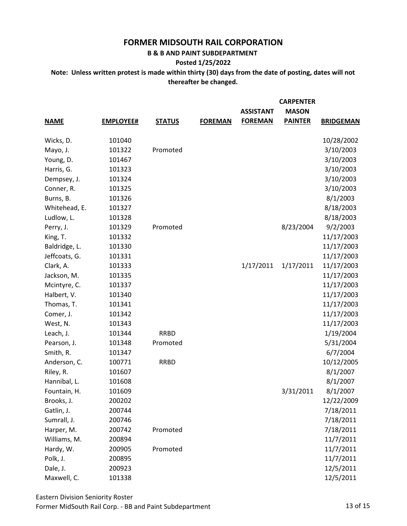**B & B AND PAINT SUBDEPARTMENT** 

#### **Posted 1/25/2022**

|               |                  |               |                | <b>ASSISTANT</b> | <b>CARPENTER</b><br><b>MASON</b> |                  |
|---------------|------------------|---------------|----------------|------------------|----------------------------------|------------------|
| <b>NAME</b>   | <b>EMPLOYEE#</b> | <b>STATUS</b> | <b>FOREMAN</b> | <b>FOREMAN</b>   | <b>PAINTER</b>                   | <b>BRIDGEMAN</b> |
| Wicks, D.     | 101040           |               |                |                  |                                  | 10/28/2002       |
| Mayo, J.      | 101322           | Promoted      |                |                  |                                  | 3/10/2003        |
| Young, D.     | 101467           |               |                |                  |                                  | 3/10/2003        |
| Harris, G.    | 101323           |               |                |                  |                                  | 3/10/2003        |
| Dempsey, J.   | 101324           |               |                |                  |                                  | 3/10/2003        |
| Conner, R.    | 101325           |               |                |                  |                                  | 3/10/2003        |
| Burns, B.     | 101326           |               |                |                  |                                  | 8/1/2003         |
| Whitehead, E. | 101327           |               |                |                  |                                  | 8/18/2003        |
| Ludlow, L.    | 101328           |               |                |                  |                                  | 8/18/2003        |
| Perry, J.     | 101329           | Promoted      |                |                  | 8/23/2004                        | 9/2/2003         |
| King, T.      | 101332           |               |                |                  |                                  | 11/17/2003       |
| Baldridge, L. | 101330           |               |                |                  |                                  | 11/17/2003       |
| Jeffcoats, G. | 101331           |               |                |                  |                                  | 11/17/2003       |
| Clark, A.     | 101333           |               |                | 1/17/2011        | 1/17/2011                        | 11/17/2003       |
| Jackson, M.   | 101335           |               |                |                  |                                  | 11/17/2003       |
| Mcintyre, C.  | 101337           |               |                |                  |                                  | 11/17/2003       |
| Halbert, V.   | 101340           |               |                |                  |                                  | 11/17/2003       |
| Thomas, T.    | 101341           |               |                |                  |                                  | 11/17/2003       |
| Comer, J.     | 101342           |               |                |                  |                                  | 11/17/2003       |
| West, N.      | 101343           |               |                |                  |                                  | 11/17/2003       |
| Leach, J.     | 101344           | <b>RRBD</b>   |                |                  |                                  | 1/19/2004        |
| Pearson, J.   | 101348           | Promoted      |                |                  |                                  | 5/31/2004        |
| Smith, R.     | 101347           |               |                |                  |                                  | 6/7/2004         |
| Anderson, C.  | 100771           | <b>RRBD</b>   |                |                  |                                  | 10/12/2005       |
| Riley, R.     | 101607           |               |                |                  |                                  | 8/1/2007         |
| Hannibal, L.  | 101608           |               |                |                  |                                  | 8/1/2007         |
| Fountain, H.  | 101609           |               |                |                  | 3/31/2011                        | 8/1/2007         |
| Brooks, J.    | 200202           |               |                |                  |                                  | 12/22/2009       |
| Gatlin, J.    | 200744           |               |                |                  |                                  | 7/18/2011        |
| Sumrall, J.   | 200746           |               |                |                  |                                  | 7/18/2011        |
| Harper, M.    | 200742           | Promoted      |                |                  |                                  | 7/18/2011        |
| Williams, M.  | 200894           |               |                |                  |                                  | 11/7/2011        |
| Hardy, W.     | 200905           | Promoted      |                |                  |                                  | 11/7/2011        |
| Polk, J.      | 200895           |               |                |                  |                                  | 11/7/2011        |
| Dale, J.      | 200923           |               |                |                  |                                  | 12/5/2011        |
| Maxwell, C.   | 101338           |               |                |                  |                                  | 12/5/2011        |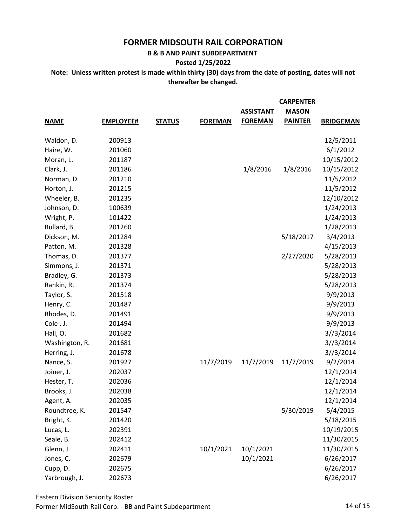**B & B AND PAINT SUBDEPARTMENT** 

**Posted 1/25/2022**

**Note: Unless written protest is made within thirty (30) days from the date of posting, dates will not thereafter be changed.**

|                |                  |               |                | <b>ASSISTANT</b> | <b>CARPENTER</b><br><b>MASON</b> |                  |
|----------------|------------------|---------------|----------------|------------------|----------------------------------|------------------|
| <b>NAME</b>    | <b>EMPLOYEE#</b> | <b>STATUS</b> | <b>FOREMAN</b> | <b>FOREMAN</b>   | <b>PAINTER</b>                   | <b>BRIDGEMAN</b> |
| Waldon, D.     | 200913           |               |                |                  |                                  | 12/5/2011        |
| Haire, W.      | 201060           |               |                |                  |                                  | 6/1/2012         |
| Moran, L.      | 201187           |               |                |                  |                                  | 10/15/2012       |
| Clark, J.      | 201186           |               |                | 1/8/2016         | 1/8/2016                         | 10/15/2012       |
| Norman, D.     | 201210           |               |                |                  |                                  | 11/5/2012        |
| Horton, J.     | 201215           |               |                |                  |                                  | 11/5/2012        |
| Wheeler, B.    | 201235           |               |                |                  |                                  | 12/10/2012       |
| Johnson, D.    | 100639           |               |                |                  |                                  | 1/24/2013        |
| Wright, P.     | 101422           |               |                |                  |                                  | 1/24/2013        |
| Bullard, B.    | 201260           |               |                |                  |                                  | 1/28/2013        |
| Dickson, M.    | 201284           |               |                |                  | 5/18/2017                        | 3/4/2013         |
| Patton, M.     | 201328           |               |                |                  |                                  | 4/15/2013        |
| Thomas, D.     | 201377           |               |                |                  | 2/27/2020                        | 5/28/2013        |
| Simmons, J.    | 201371           |               |                |                  |                                  | 5/28/2013        |
| Bradley, G.    | 201373           |               |                |                  |                                  | 5/28/2013        |
| Rankin, R.     | 201374           |               |                |                  |                                  | 5/28/2013        |
| Taylor, S.     | 201518           |               |                |                  |                                  | 9/9/2013         |
| Henry, C.      | 201487           |               |                |                  |                                  | 9/9/2013         |
| Rhodes, D.     | 201491           |               |                |                  |                                  | 9/9/2013         |
| Cole, J.       | 201494           |               |                |                  |                                  | 9/9/2013         |
| Hall, O.       | 201682           |               |                |                  |                                  | 3//3/2014        |
| Washington, R. | 201681           |               |                |                  |                                  | 3//3/2014        |
| Herring, J.    | 201678           |               |                |                  |                                  | 3//3/2014        |
| Nance, S.      | 201927           |               | 11/7/2019      | 11/7/2019        | 11/7/2019                        | 9/2/2014         |
| Joiner, J.     | 202037           |               |                |                  |                                  | 12/1/2014        |
| Hester, T.     | 202036           |               |                |                  |                                  | 12/1/2014        |
| Brooks, J.     | 202038           |               |                |                  |                                  | 12/1/2014        |
| Agent, A.      | 202035           |               |                |                  |                                  | 12/1/2014        |
| Roundtree, K.  | 201547           |               |                |                  | 5/30/2019                        | 5/4/2015         |
| Bright, K.     | 201420           |               |                |                  |                                  | 5/18/2015        |
| Lucas, L.      | 202391           |               |                |                  |                                  | 10/19/2015       |
| Seale, B.      | 202412           |               |                |                  |                                  | 11/30/2015       |
| Glenn, J.      | 202411           |               | 10/1/2021      | 10/1/2021        |                                  | 11/30/2015       |
| Jones, C.      | 202679           |               |                | 10/1/2021        |                                  | 6/26/2017        |
| Cupp, D.       | 202675           |               |                |                  |                                  | 6/26/2017        |
| Yarbrough, J.  | 202673           |               |                |                  |                                  | 6/26/2017        |

Eastern Division Seniority Roster Former MidSouth Rail Corp. - BB and Paint Subdepartment 14 0f 15